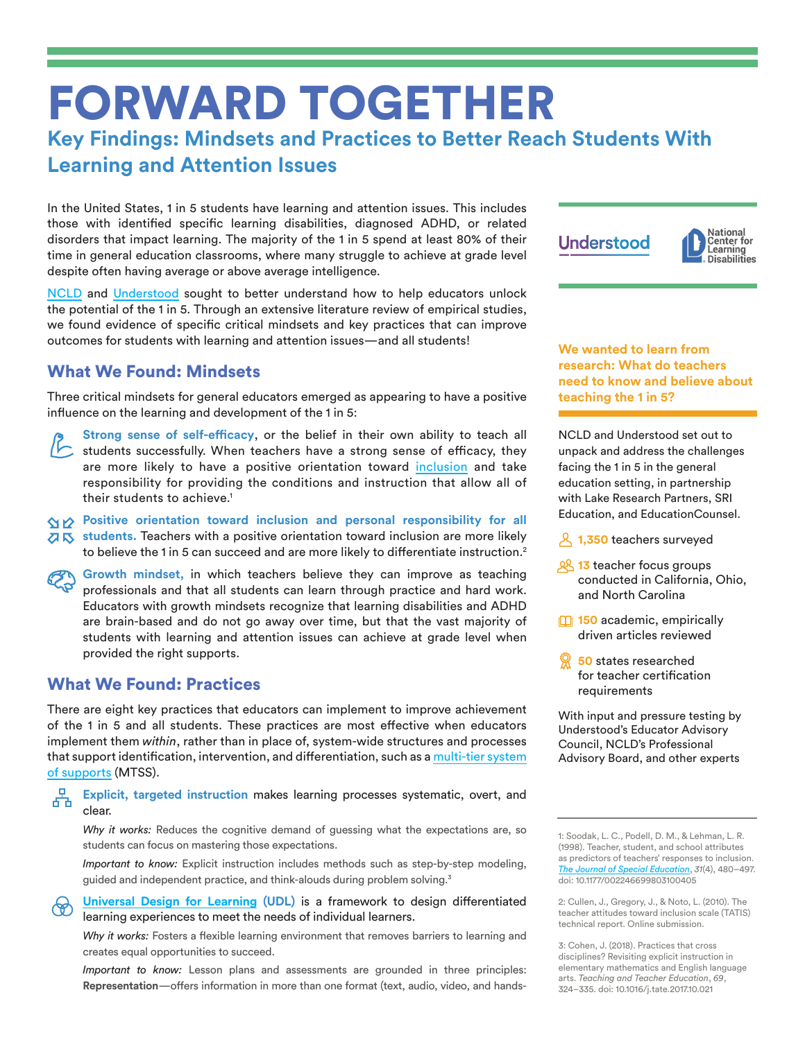# FORWARD TOGETHER

## **Key Findings: Mindsets and Practices to Better Reach Students With Learning and Attention Issues**

In the United States, 1 in 5 students have learning and attention issues. This includes those with identified specific learning disabilities, diagnosed ADHD, or related disorders that impact learning. The majority of the 1 in 5 spend at least 80% of their time in general education classrooms, where many struggle to achieve at grade level despite often having average or above average intelligence.

[NCLD](https://www.ncld.org/) and [Understood](https://www.understood.org/en) sought to better understand how to help educators unlock the potential of the 1 in 5. Through an extensive literature review of empirical studies, we found evidence of specific critical mindsets and key practices that can improve outcomes for students with learning and attention issues—and all students!

## What We Found: Mindsets

Three critical mindsets for general educators emerged as appearing to have a positive influence on the learning and development of the 1 in 5:

**Strong sense of self-efficacy**, or the belief in their own ability to teach all students successfully. When teachers have a strong sense of efficacy, they are more likely to have a positive orientation toward [inclusion](https://www.understood.org/en/school-learning/special-services/special-education-basics/least-restrictive-environment-lre-what-you-need-to-know) and take responsibility for providing the conditions and instruction that allow all of their students to achieve.<sup>1</sup>

**Positive orientation toward inclusion and personal responsibility for all** 

**students.** Teachers with a positive orientation toward inclusion are more likely to believe the 1 in 5 can succeed and are more likely to differentiate instruction.<sup>2</sup>

**Growth mindset,** in which teachers believe they can improve as teaching professionals and that all students can learn through practice and hard work. Educators with growth mindsets recognize that learning disabilities and ADHD are brain-based and do not go away over time, but that the vast majority of students with learning and attention issues can achieve at grade level when provided the right supports.

## What We Found: Practices

There are eight key practices that educators can implement to improve achievement of the 1 in 5 and all students. These practices are most effective when educators implement them *within*, rather than in place of, system-wide structures and processes that support identification, intervention, and differentiation, such as a multi-tier system [of supports](https://www.understood.org/en/learning-attention-issues/treatments-approaches/educational-strategies/mtss-what-you-need-to-know) (MTSS).

몲 **Explicit, targeted instruction** makes learning processes systematic, overt, and clear.

*Why it works:* Reduces the cognitive demand of guessing what the expectations are, so students can focus on mastering those expectations.

*Important to know:* Explicit instruction includes methods such as step-by-step modeling, guided and independent practice, and think-alouds during problem solving.<sup>3</sup>

**[Universal Design for Learning](https://www.understood.org/en/school-learning/for-educators/universal-design-for-learning) (UDL)** is a framework to design differentiated ക്ക learning experiences to meet the needs of individual learners.

*Why it works:* Fosters a flexible learning environment that removes barriers to learning and creates equal opportunities to succeed.

*Important to know:* Lesson plans and assessments are grounded in three principles: **Representation**—offers information in more than one format (text, audio, video, and hands-



**We wanted to learn from research: What do teachers need to know and believe about teaching the 1 in 5?**

NCLD and Understood set out to unpack and address the challenges facing the 1 in 5 in the general education setting, in partnership with Lake Research Partners, SRI Education, and EducationCounsel.

- **1,350** teachers surveyed
- **& 13** teacher focus groups conducted in California, Ohio, and North Carolina
- **150** academic, empirically driven articles reviewed
- **50** states researched for teacher certification requirements

With input and pressure testing by Understood's Educator Advisory Council, NCLD's Professional Advisory Board, and other experts

2: Cullen, J., Gregory, J., & Noto, L. (2010). The teacher attitudes toward inclusion scale (TATIS) technical report. Online submission.

3: Cohen, J. (2018). Practices that cross disciplines? Revisiting explicit instruction in elementary mathematics and English language arts. *Teaching and Teacher Education*, *69*, 324–335. doi: 10.1016/j.tate.2017.10.021

<sup>1:</sup> Soodak, L. C., Podell, D. M., & Lehman, L. R. (1998). Teacher, student, and school attributes as predictors of teachers' responses to inclusion. *[The Journal of Special Education](https://psycnet.apa.org/record/2000-08405-005)*, *31*(4), 480–497. doi: 10.1177/002246699803100405